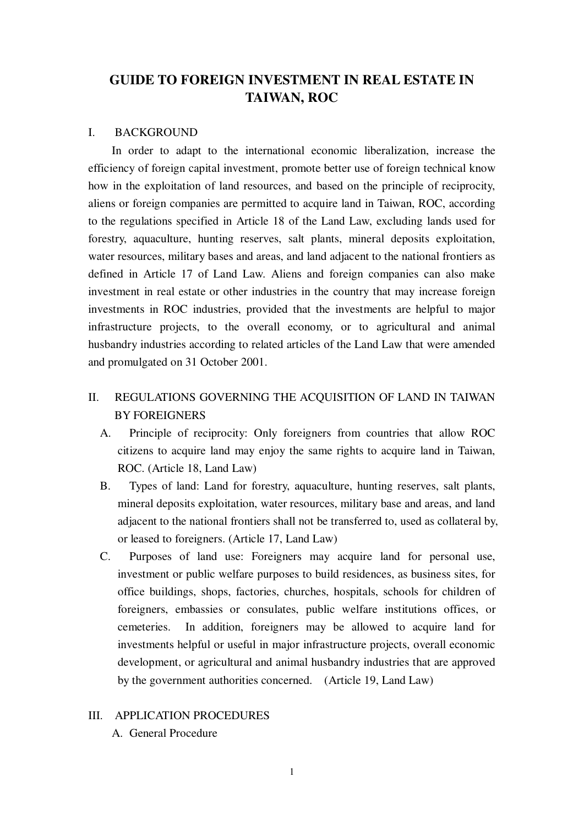# **GUIDE TO FOREIGN INVESTMENT IN REAL ESTATE IN TAIWAN, ROC**

#### I. BACKGROUND

In order to adapt to the international economic liberalization, increase the efficiency of foreign capital investment, promote better use of foreign technical know how in the exploitation of land resources, and based on the principle of reciprocity, aliens or foreign companies are permitted to acquire land in Taiwan, ROC, according to the regulations specified in Article 18 of the Land Law, excluding lands used for forestry, aquaculture, hunting reserves, salt plants, mineral deposits exploitation, water resources, military bases and areas, and land adjacent to the national frontiers as defined in Article 17 of Land Law. Aliens and foreign companies can also make investment in real estate or other industries in the country that may increase foreign investments in ROC industries, provided that the investments are helpful to major infrastructure projects, to the overall economy, or to agricultural and animal husbandry industries according to related articles of the Land Law that were amended and promulgated on 31 October 2001.

## II. REGULATIONS GOVERNING THE ACQUISITION OF LAND IN TAIWAN BY FOREIGNERS

- A. Principle of reciprocity: Only foreigners from countries that allow ROC citizens to acquire land may enjoy the same rights to acquire land in Taiwan, ROC. (Article 18, Land Law)
- B. Types of land: Land for forestry, aquaculture, hunting reserves, salt plants, mineral deposits exploitation, water resources, military base and areas, and land adjacent to the national frontiers shall not be transferred to, used as collateral by, or leased to foreigners. (Article 17, Land Law)
- C. Purposes of land use: Foreigners may acquire land for personal use, investment or public welfare purposes to build residences, as business sites, for office buildings, shops, factories, churches, hospitals, schools for children of foreigners, embassies or consulates, public welfare institutions offices, or cemeteries. In addition, foreigners may be allowed to acquire land for investments helpful or useful in major infrastructure projects, overall economic development, or agricultural and animal husbandry industries that are approved by the government authorities concerned. (Article 19, Land Law)

## III. APPLICATION PROCEDURES

A. General Procedure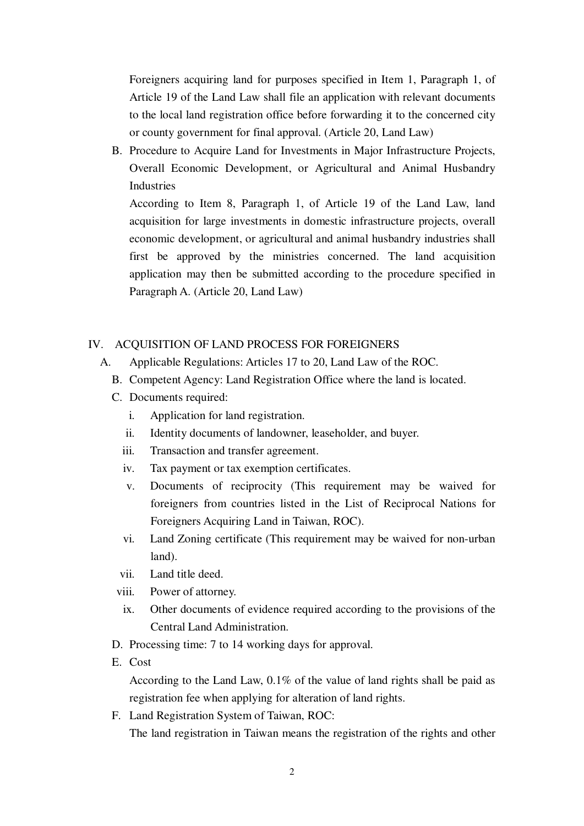Foreigners acquiring land for purposes specified in Item 1, Paragraph 1, of Article 19 of the Land Law shall file an application with relevant documents to the local land registration office before forwarding it to the concerned city or county government for final approval. (Article 20, Land Law)

B. Procedure to Acquire Land for Investments in Major Infrastructure Projects, Overall Economic Development, or Agricultural and Animal Husbandry Industries

According to Item 8, Paragraph 1, of Article 19 of the Land Law, land acquisition for large investments in domestic infrastructure projects, overall economic development, or agricultural and animal husbandry industries shall first be approved by the ministries concerned. The land acquisition application may then be submitted according to the procedure specified in Paragraph A. (Article 20, Land Law)

## IV. ACQUISITION OF LAND PROCESS FOR FOREIGNERS

- A. Applicable Regulations: Articles 17 to 20, Land Law of the ROC.
	- B. Competent Agency: Land Registration Office where the land is located.
	- C. Documents required:
		- i. Application for land registration.
		- ii. Identity documents of landowner, leaseholder, and buyer.
		- iii. Transaction and transfer agreement.
		- iv. Tax payment or tax exemption certificates.
		- v. Documents of reciprocity (This requirement may be waived for foreigners from countries listed in the List of Reciprocal Nations for Foreigners Acquiring Land in Taiwan, ROC).
		- vi. Land Zoning certificate (This requirement may be waived for non-urban land).
		- vii. Land title deed.
		- viii. Power of attorney.
		- ix. Other documents of evidence required according to the provisions of the Central Land Administration.
	- D. Processing time: 7 to 14 working days for approval.
	- E. Cost

According to the Land Law, 0.1% of the value of land rights shall be paid as registration fee when applying for alteration of land rights.

F. Land Registration System of Taiwan, ROC:

The land registration in Taiwan means the registration of the rights and other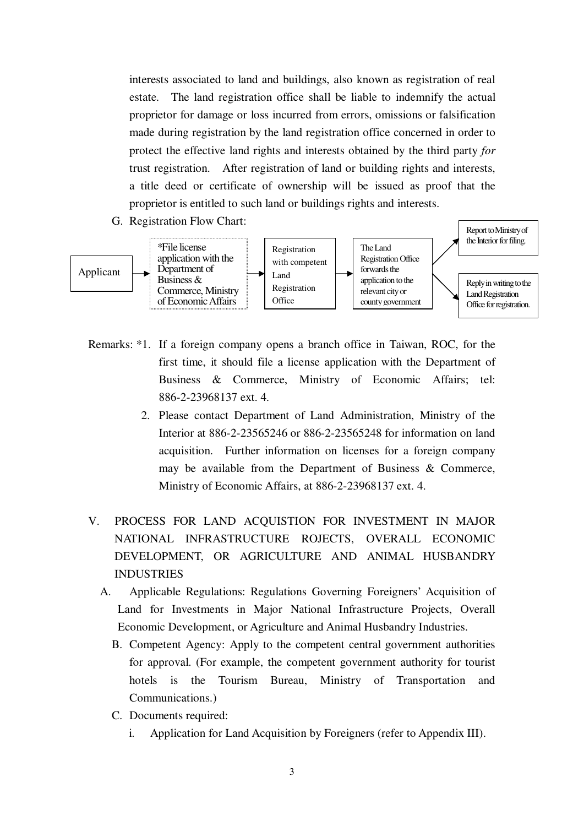interests associated to land and buildings, also known as registration of real estate. The land registration office shall be liable to indemnify the actual proprietor for damage or loss incurred from errors, omissions or falsification made during registration by the land registration office concerned in order to protect the effective land rights and interests obtained by the third party *for*  trust registration. After registration of land or building rights and interests, a title deed or certificate of ownership will be issued as proof that the proprietor is entitled to such land or buildings rights and interests.

G. Registration Flow Chart:



- Remarks: \*1. If a foreign company opens a branch office in Taiwan, ROC, for the first time, it should file a license application with the Department of Business & Commerce, Ministry of Economic Affairs; tel: 886-2-23968137 ext. 4.
	- 2. Please contact Department of Land Administration, Ministry of the Interior at 886-2-23565246 or 886-2-23565248 for information on land acquisition. Further information on licenses for a foreign company may be available from the Department of Business & Commerce, Ministry of Economic Affairs, at 886-2-23968137 ext. 4.
- V. PROCESS FOR LAND ACQUISTION FOR INVESTMENT IN MAJOR NATIONAL INFRASTRUCTURE ROJECTS, OVERALL ECONOMIC DEVELOPMENT, OR AGRICULTURE AND ANIMAL HUSBANDRY INDUSTRIES
	- A. Applicable Regulations: Regulations Governing Foreigners' Acquisition of Land for Investments in Major National Infrastructure Projects, Overall Economic Development, or Agriculture and Animal Husbandry Industries.
		- B. Competent Agency: Apply to the competent central government authorities for approval. (For example, the competent government authority for tourist hotels is the Tourism Bureau, Ministry of Transportation and Communications.)
		- C. Documents required:
			- i. Application for Land Acquisition by Foreigners (refer to Appendix III).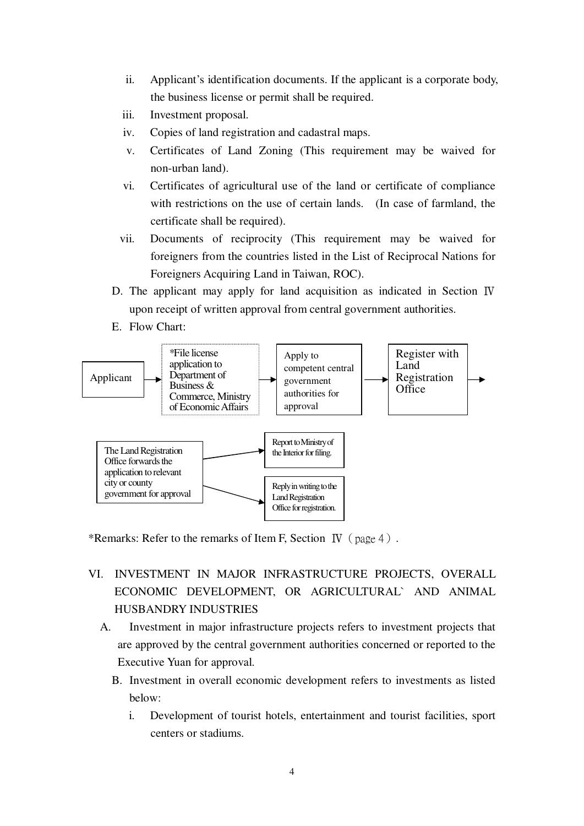- ii. Applicant's identification documents. If the applicant is a corporate body, the business license or permit shall be required.
- iii. Investment proposal.
- iv. Copies of land registration and cadastral maps.
- v. Certificates of Land Zoning (This requirement may be waived for non-urban land).
- vi. Certificates of agricultural use of the land or certificate of compliance with restrictions on the use of certain lands. (In case of farmland, the certificate shall be required).
- vii. Documents of reciprocity (This requirement may be waived for foreigners from the countries listed in the List of Reciprocal Nations for Foreigners Acquiring Land in Taiwan, ROC).
- D. The applicant may apply for land acquisition as indicated in Section Ⅳ upon receipt of written approval from central government authorities.
- E. Flow Chart:



\*Remarks: Refer to the remarks of Item F, Section IV (page 4).

- VI. INVESTMENT IN MAJOR INFRASTRUCTURE PROJECTS, OVERALL ECONOMIC DEVELOPMENT, OR AGRICULTURAL` AND ANIMAL HUSBANDRY INDUSTRIES
	- A. Investment in major infrastructure projects refers to investment projects that are approved by the central government authorities concerned or reported to the Executive Yuan for approval.
		- B. Investment in overall economic development refers to investments as listed below:
			- i. Development of tourist hotels, entertainment and tourist facilities, sport centers or stadiums.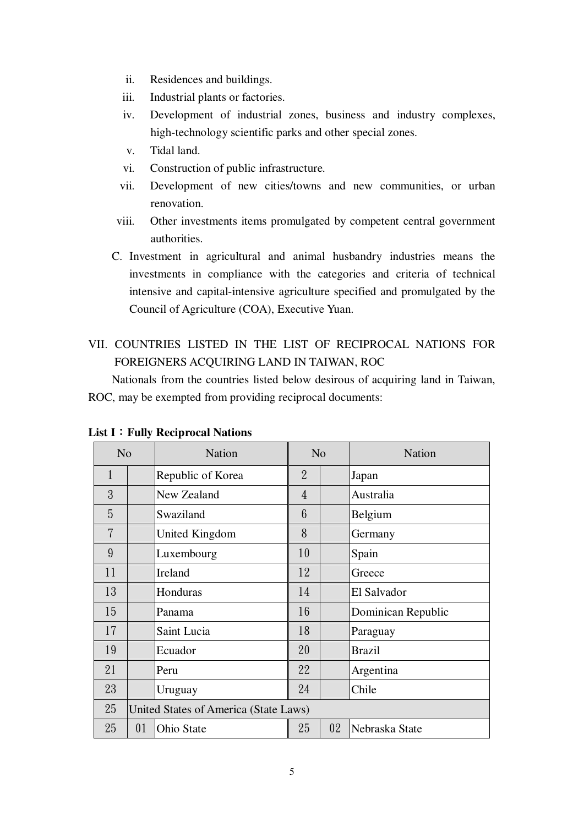- ii. Residences and buildings.
- iii. Industrial plants or factories.
- iv. Development of industrial zones, business and industry complexes, high-technology scientific parks and other special zones.
- v. Tidal land.
- vi. Construction of public infrastructure.
- vii. Development of new cities/towns and new communities, or urban renovation.
- viii. Other investments items promulgated by competent central government authorities.
- C. Investment in agricultural and animal husbandry industries means the investments in compliance with the categories and criteria of technical intensive and capital-intensive agriculture specified and promulgated by the Council of Agriculture (COA), Executive Yuan.
- VII. COUNTRIES LISTED IN THE LIST OF RECIPROCAL NATIONS FOR FOREIGNERS ACQUIRING LAND IN TAIWAN, ROC

Nationals from the countries listed below desirous of acquiring land in Taiwan, ROC, may be exempted from providing reciprocal documents:

| N <sub>o</sub> |    | <b>Nation</b>                         | N <sub>o</sub> |  | <b>Nation</b>      |
|----------------|----|---------------------------------------|----------------|--|--------------------|
| 1              |    | Republic of Korea                     | $\overline{2}$ |  | Japan              |
| 3              |    | New Zealand                           | 4              |  | Australia          |
| 5              |    | Swaziland                             | 6              |  | Belgium            |
| $\overline{7}$ |    | United Kingdom                        | 8              |  | Germany            |
| 9              |    | Luxembourg                            | 10             |  | Spain              |
| 11             |    | Ireland                               | 12             |  | Greece             |
| 13             |    | Honduras                              | 14             |  | El Salvador        |
| 15             |    | Panama                                | 16             |  | Dominican Republic |
| 17             |    | Saint Lucia                           | 18             |  | Paraguay           |
| 19             |    | Ecuador                               | 20             |  | <b>Brazil</b>      |
| 21             |    | Peru                                  | 22             |  | Argentina          |
| 23             |    | Uruguay                               | 24             |  | Chile              |
| 25             |    | United States of America (State Laws) |                |  |                    |
| 25             | 01 | Ohio State                            | 25<br>02       |  | Nebraska State     |

**List I**:**Fully Reciprocal Nations**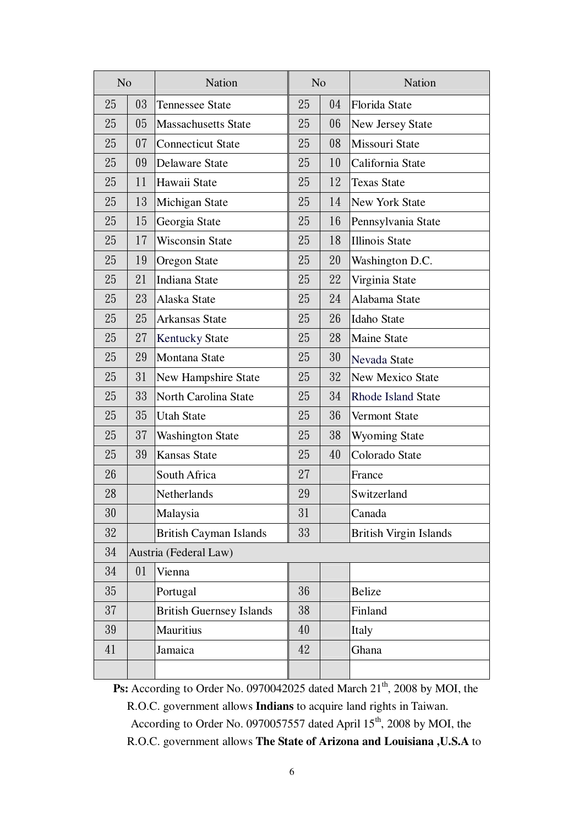| N <sub>o</sub> |                       | Nation                          | N <sub>o</sub> |    | Nation                        |
|----------------|-----------------------|---------------------------------|----------------|----|-------------------------------|
| 25             | 03                    | <b>Tennessee State</b>          | 25             | 04 | Florida State                 |
| 25             | 05                    | <b>Massachusetts State</b>      | 25             | 06 | <b>New Jersey State</b>       |
| 25             | 07                    | <b>Connecticut State</b>        | 25             | 08 | Missouri State                |
| 25             | 09                    | Delaware State                  | 25             | 10 | California State              |
| 25             | 11                    | Hawaii State                    | 25             | 12 | <b>Texas State</b>            |
| 25             | 13                    | Michigan State                  | 25             | 14 | <b>New York State</b>         |
| 25             | 15                    | Georgia State                   | 25             | 16 | Pennsylvania State            |
| 25             | 17                    | <b>Wisconsin State</b>          | 25             | 18 | <b>Illinois State</b>         |
| 25             | 19                    | <b>Oregon State</b>             | 25             | 20 | Washington D.C.               |
| 25             | 21                    | Indiana State                   | 25             | 22 | Virginia State                |
| 25             | 23                    | Alaska State                    | 25             | 24 | Alabama State                 |
| 25             | 25                    | Arkansas State                  | 25             | 26 | <b>Idaho State</b>            |
| 25             | 27                    | <b>Kentucky State</b>           | 25             | 28 | <b>Maine State</b>            |
| 25             | 29                    | Montana State                   | 25             | 30 | Nevada State                  |
| 25             | 31                    | New Hampshire State             | 25             | 32 | <b>New Mexico State</b>       |
| 25             | 33                    | North Carolina State            | 25             | 34 | <b>Rhode Island State</b>     |
| 25             | 35                    | <b>Utah State</b>               | 25             | 36 | Vermont State                 |
| 25             | 37                    | <b>Washington State</b>         | 25             | 38 | <b>Wyoming State</b>          |
| 25             | 39                    | <b>Kansas State</b>             | 25             | 40 | Colorado State                |
| 26             |                       | South Africa                    | 27             |    | France                        |
| 28             |                       | Netherlands                     | 29             |    | Switzerland                   |
| 30             |                       | Malaysia                        | 31             |    | Canada                        |
| $32\,$         |                       | <b>British Cayman Islands</b>   | 33             |    | <b>British Virgin Islands</b> |
| 34             | Austria (Federal Law) |                                 |                |    |                               |
| 34             | 01                    | Vienna                          |                |    |                               |
| 35             |                       | Portugal                        | 36             |    | <b>Belize</b>                 |
| 37             |                       | <b>British Guernsey Islands</b> | 38             |    | Finland                       |
| 39             |                       | <b>Mauritius</b>                | 40             |    | Italy                         |
| 41             |                       | Jamaica                         | 42             |    | Ghana                         |
|                |                       |                                 |                |    |                               |

**Ps:** According to Order No. 0970042025 dated March 21<sup>th</sup>, 2008 by MOI, the R.O.C. government allows **Indians** to acquire land rights in Taiwan. According to Order No. 0970057557 dated April 15<sup>th</sup>, 2008 by MOI, the R.O.C. government allows **The State of Arizona and Louisiana ,U.S.A** to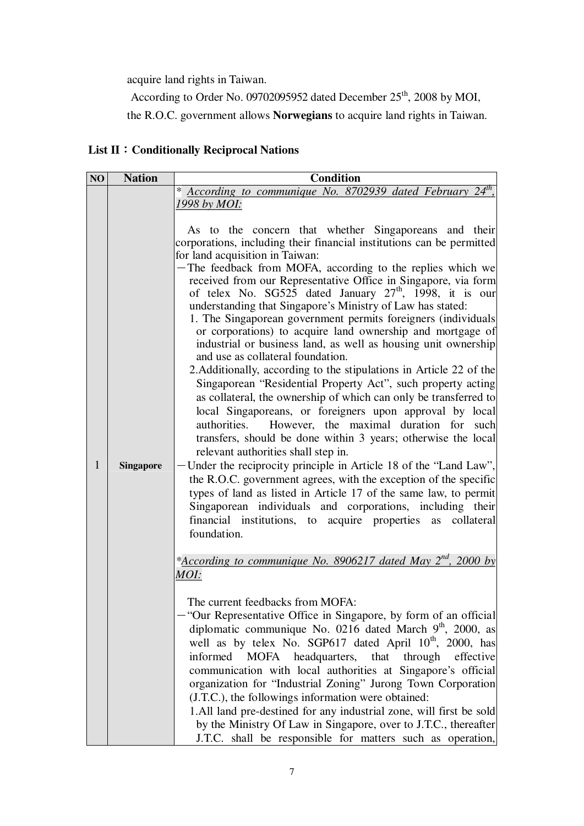acquire land rights in Taiwan.

According to Order No. 09702095952 dated December 25<sup>th</sup>, 2008 by MOI, the R.O.C. government allows **Norwegians** to acquire land rights in Taiwan.

# **List II**:**Conditionally Reciprocal Nations**

| <b>Nation</b>    | <b>Condition</b>                                                                                                                                                                                                                                                                                                                                                                                                                                                                                                                                                                                                                                                                                                                                                                                                                                                                                                                                                                                                                                                                                                                                                                                                                                                                                                                                                                                                                                             |
|------------------|--------------------------------------------------------------------------------------------------------------------------------------------------------------------------------------------------------------------------------------------------------------------------------------------------------------------------------------------------------------------------------------------------------------------------------------------------------------------------------------------------------------------------------------------------------------------------------------------------------------------------------------------------------------------------------------------------------------------------------------------------------------------------------------------------------------------------------------------------------------------------------------------------------------------------------------------------------------------------------------------------------------------------------------------------------------------------------------------------------------------------------------------------------------------------------------------------------------------------------------------------------------------------------------------------------------------------------------------------------------------------------------------------------------------------------------------------------------|
|                  | * According to communique No. 8702939 dated February 24 <sup>th</sup> ,                                                                                                                                                                                                                                                                                                                                                                                                                                                                                                                                                                                                                                                                                                                                                                                                                                                                                                                                                                                                                                                                                                                                                                                                                                                                                                                                                                                      |
|                  | 1998 by MOI:                                                                                                                                                                                                                                                                                                                                                                                                                                                                                                                                                                                                                                                                                                                                                                                                                                                                                                                                                                                                                                                                                                                                                                                                                                                                                                                                                                                                                                                 |
| <b>Singapore</b> | As to the concern that whether Singaporeans and their<br>corporations, including their financial institutions can be permitted<br>for land acquisition in Taiwan:<br>-The feedback from MOFA, according to the replies which we<br>received from our Representative Office in Singapore, via form<br>of telex No. $SGS25$ dated January $27th$ , 1998, it is our<br>understanding that Singapore's Ministry of Law has stated:<br>1. The Singaporean government permits foreigners (individuals)<br>or corporations) to acquire land ownership and mortgage of<br>industrial or business land, as well as housing unit ownership<br>and use as collateral foundation.<br>2. Additionally, according to the stipulations in Article 22 of the<br>Singaporean "Residential Property Act", such property acting<br>as collateral, the ownership of which can only be transferred to<br>local Singaporeans, or foreigners upon approval by local<br>However, the maximal duration for such<br>authorities.<br>transfers, should be done within 3 years; otherwise the local<br>relevant authorities shall step in.<br>Under the reciprocity principle in Article 18 of the "Land Law",<br>the R.O.C. government agrees, with the exception of the specific<br>types of land as listed in Article 17 of the same law, to permit<br>Singaporean individuals and corporations, including their<br>financial institutions, to acquire properties<br>collateral<br>as |
|                  | foundation.<br>* <b>According to communique No. 8906217 dated May 2<sup>nd</sup>, 2000 by</b><br>MOI:<br>The current feedbacks from MOFA:<br>"Our Representative Office in Singapore, by form of an official<br>diplomatic communique No. 0216 dated March 9 <sup>th</sup> , 2000, as<br>well as by telex No. SGP617 dated April 10 <sup>th</sup> , 2000, has<br>informed<br>MOFA headquarters, that through effective<br>communication with local authorities at Singapore's official<br>organization for "Industrial Zoning" Jurong Town Corporation<br>(J.T.C.), the followings information were obtained:<br>1.All land pre-destined for any industrial zone, will first be sold<br>by the Ministry Of Law in Singapore, over to J.T.C., thereafter<br>J.T.C. shall be responsible for matters such as operation,                                                                                                                                                                                                                                                                                                                                                                                                                                                                                                                                                                                                                                        |
|                  |                                                                                                                                                                                                                                                                                                                                                                                                                                                                                                                                                                                                                                                                                                                                                                                                                                                                                                                                                                                                                                                                                                                                                                                                                                                                                                                                                                                                                                                              |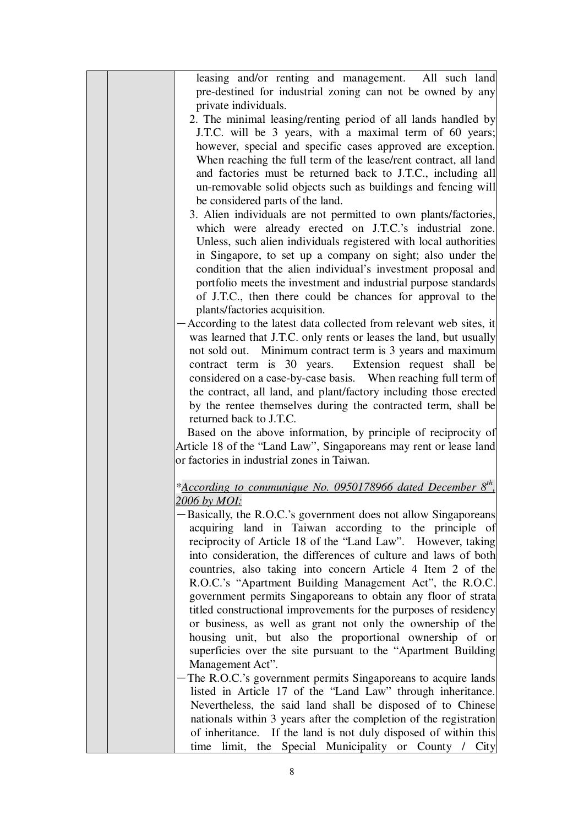|  | leasing and/or renting and management. All such land                                                                     |
|--|--------------------------------------------------------------------------------------------------------------------------|
|  | pre-destined for industrial zoning can not be owned by any                                                               |
|  | private individuals.                                                                                                     |
|  | 2. The minimal leasing/renting period of all lands handled by                                                            |
|  | J.T.C. will be 3 years, with a maximal term of 60 years;                                                                 |
|  | however, special and specific cases approved are exception.                                                              |
|  | When reaching the full term of the lease/rent contract, all land                                                         |
|  | and factories must be returned back to J.T.C., including all                                                             |
|  | un-removable solid objects such as buildings and fencing will                                                            |
|  | be considered parts of the land.                                                                                         |
|  | 3. Alien individuals are not permitted to own plants/factories,                                                          |
|  | which were already erected on J.T.C.'s industrial zone.                                                                  |
|  | Unless, such alien individuals registered with local authorities                                                         |
|  | in Singapore, to set up a company on sight; also under the                                                               |
|  | condition that the alien individual's investment proposal and                                                            |
|  | portfolio meets the investment and industrial purpose standards                                                          |
|  | of J.T.C., then there could be chances for approval to the                                                               |
|  | plants/factories acquisition.                                                                                            |
|  | According to the latest data collected from relevant web sites, it                                                       |
|  | was learned that J.T.C. only rents or leases the land, but usually                                                       |
|  | not sold out. Minimum contract term is 3 years and maximum                                                               |
|  | contract term is 30 years. Extension request shall be                                                                    |
|  | considered on a case-by-case basis. When reaching full term of                                                           |
|  | the contract, all land, and plant/factory including those erected                                                        |
|  | by the rentee themselves during the contracted term, shall be                                                            |
|  | returned back to J.T.C.                                                                                                  |
|  | Based on the above information, by principle of reciprocity of                                                           |
|  | Article 18 of the "Land Law", Singaporeans may rent or lease land                                                        |
|  | or factories in industrial zones in Taiwan.                                                                              |
|  |                                                                                                                          |
|  | *According to communique No. 0950178966 dated December 8 <sup>th</sup>                                                   |
|  | <u>2006 by MOI:</u>                                                                                                      |
|  | Basically, the R.O.C.'s government does not allow Singaporeans<br>acquiring land in Taiwan according to the principle of |
|  | reciprocity of Article 18 of the "Land Law". However, taking                                                             |
|  |                                                                                                                          |
|  | into consideration, the differences of culture and laws of both                                                          |
|  | countries, also taking into concern Article 4 Item 2 of the<br>R.O.C.'s "Apartment Building Management Act", the R.O.C.  |
|  | government permits Singaporeans to obtain any floor of strata                                                            |
|  | titled constructional improvements for the purposes of residency                                                         |
|  | or business, as well as grant not only the ownership of the                                                              |
|  | housing unit, but also the proportional ownership of or                                                                  |
|  | superficies over the site pursuant to the "Apartment Building                                                            |
|  | Management Act".                                                                                                         |
|  | The R.O.C.'s government permits Singaporeans to acquire lands                                                            |
|  | listed in Article 17 of the "Land Law" through inheritance.                                                              |
|  | Nevertheless, the said land shall be disposed of to Chinese                                                              |
|  | nationals within 3 years after the completion of the registration                                                        |
|  | of inheritance. If the land is not duly disposed of within this                                                          |
|  | limit, the Special Municipality or County / City<br>time                                                                 |
|  |                                                                                                                          |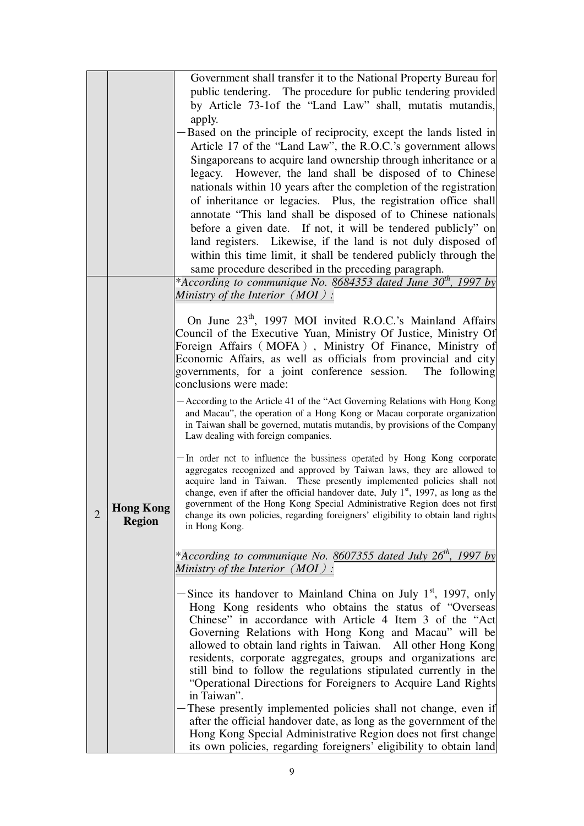|                |                  | Government shall transfer it to the National Property Bureau for                                                                                 |
|----------------|------------------|--------------------------------------------------------------------------------------------------------------------------------------------------|
|                |                  | public tendering. The procedure for public tendering provided                                                                                    |
|                |                  | by Article 73-1of the "Land Law" shall, mutatis mutandis,                                                                                        |
|                |                  | apply.                                                                                                                                           |
|                |                  | Based on the principle of reciprocity, except the lands listed in                                                                                |
|                |                  | Article 17 of the "Land Law", the R.O.C.'s government allows                                                                                     |
|                |                  | Singaporeans to acquire land ownership through inheritance or a                                                                                  |
|                |                  | legacy. However, the land shall be disposed of to Chinese                                                                                        |
|                |                  | nationals within 10 years after the completion of the registration                                                                               |
|                |                  | of inheritance or legacies. Plus, the registration office shall                                                                                  |
|                |                  | annotate "This land shall be disposed of to Chinese nationals                                                                                    |
|                |                  | before a given date. If not, it will be tendered publicly" on                                                                                    |
|                |                  | land registers. Likewise, if the land is not duly disposed of                                                                                    |
|                |                  | within this time limit, it shall be tendered publicly through the                                                                                |
|                |                  | same procedure described in the preceding paragraph.                                                                                             |
|                |                  | * <u>According to communique No. 8684353 dated June 30<sup>th</sup>, 1997 by</u>                                                                 |
|                |                  | Ministry of the Interior $(MOI)$ :                                                                                                               |
|                |                  | On June 23 <sup>th</sup> , 1997 MOI invited R.O.C.'s Mainland Affairs                                                                            |
|                |                  | Council of the Executive Yuan, Ministry Of Justice, Ministry Of                                                                                  |
|                |                  | Foreign Affairs (MOFA), Ministry Of Finance, Ministry of                                                                                         |
|                |                  | Economic Affairs, as well as officials from provincial and city                                                                                  |
|                |                  | governments, for a joint conference session. The following                                                                                       |
|                |                  | conclusions were made:                                                                                                                           |
|                |                  | -According to the Article 41 of the "Act Governing Relations with Hong Kong                                                                      |
|                |                  | and Macau", the operation of a Hong Kong or Macau corporate organization                                                                         |
|                |                  | in Taiwan shall be governed, mutatis mutandis, by provisions of the Company<br>Law dealing with foreign companies.                               |
|                |                  |                                                                                                                                                  |
|                |                  | - In order not to influence the bussiness operated by Hong Kong corporate                                                                        |
|                |                  | aggregates recognized and approved by Taiwan laws, they are allowed to<br>acquire land in Taiwan. These presently implemented policies shall not |
|                |                  | change, even if after the official handover date, July $1st$ , 1997, as long as the                                                              |
|                | <b>Hong Kong</b> | government of the Hong Kong Special Administrative Region does not first                                                                         |
| $\overline{2}$ | <b>Region</b>    | change its own policies, regarding foreigners' eligibility to obtain land rights                                                                 |
|                |                  | in Hong Kong.                                                                                                                                    |
|                |                  |                                                                                                                                                  |
|                |                  | * <u>According to communique No. 8607355 dated July 26<sup>th</sup>, 1997 by</u><br>Ministry of the Interior $(MOI)$ :                           |
|                |                  |                                                                                                                                                  |
|                |                  | Since its handover to Mainland China on July 1 <sup>st</sup> , 1997, only                                                                        |
|                |                  | Hong Kong residents who obtains the status of "Overseas                                                                                          |
|                |                  | Chinese" in accordance with Article 4 Item 3 of the "Act                                                                                         |
|                |                  | Governing Relations with Hong Kong and Macau" will be                                                                                            |
|                |                  | allowed to obtain land rights in Taiwan. All other Hong Kong                                                                                     |
|                |                  | residents, corporate aggregates, groups and organizations are                                                                                    |
|                |                  | still bind to follow the regulations stipulated currently in the<br>"Operational Directions for Foreigners to Acquire Land Rights                |
|                |                  | in Taiwan".                                                                                                                                      |
|                |                  | These presently implemented policies shall not change, even if                                                                                   |
|                |                  | after the official handover date, as long as the government of the                                                                               |
|                |                  | Hong Kong Special Administrative Region does not first change                                                                                    |
|                |                  | its own policies, regarding foreigners' eligibility to obtain land                                                                               |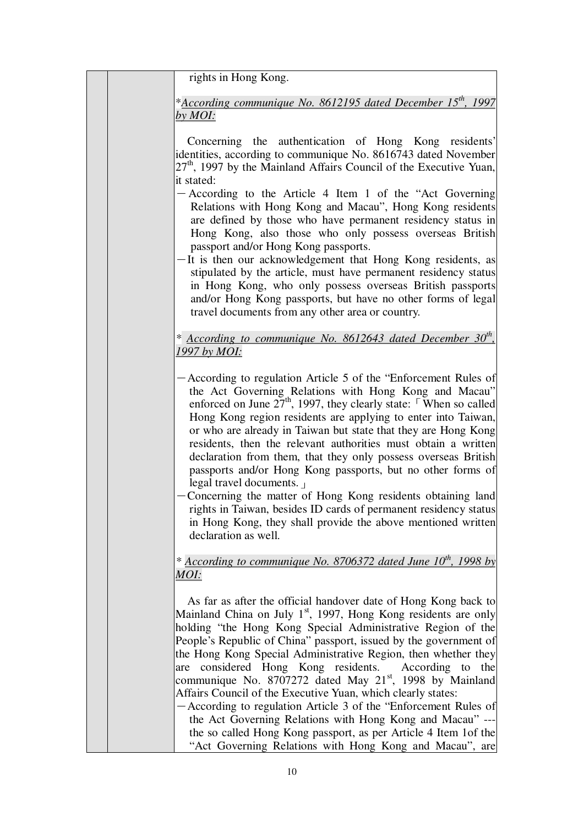rights in Hong Kong.

\**According communique No. 8612195 dated December 15th, 1997 by MOI:*

Concerning the authentication of Hong Kong residents' identities, according to communique No. 8616743 dated November  $27<sup>th</sup>$ , 1997 by the Mainland Affairs Council of the Executive Yuan, it stated:

- $-$  According to the Article 4 Item 1 of the "Act Governing" Relations with Hong Kong and Macau", Hong Kong residents are defined by those who have permanent residency status in Hong Kong, also those who only possess overseas British passport and/or Hong Kong passports.
- -It is then our acknowledgement that Hong Kong residents, as stipulated by the article, must have permanent residency status in Hong Kong, who only possess overseas British passports and/or Hong Kong passports, but have no other forms of legal travel documents from any other area or country.

## *\* According to communique No. 8612643 dated December 30th , 1997 by MOI:*

- -According to regulation Article 5 of the "Enforcement Rules of the Act Governing Relations with Hong Kong and Macau" enforced on June  $27<sup>th</sup>$ , 1997, they clearly state: When so called Hong Kong region residents are applying to enter into Taiwan, or who are already in Taiwan but state that they are Hong Kong residents, then the relevant authorities must obtain a written declaration from them, that they only possess overseas British passports and/or Hong Kong passports, but no other forms of legal travel documents.」
- -Concerning the matter of Hong Kong residents obtaining land rights in Taiwan, besides ID cards of permanent residency status in Hong Kong, they shall provide the above mentioned written declaration as well.

## *\* According to communique No. 8706372 dated June 10th, 1998 by MOI:*

As far as after the official handover date of Hong Kong back to Mainland China on July  $1<sup>st</sup>$ , 1997, Hong Kong residents are only holding "the Hong Kong Special Administrative Region of the People's Republic of China" passport, issued by the government of the Hong Kong Special Administrative Region, then whether they are considered Hong Kong residents. According to the communique No. 8707272 dated May  $21<sup>st</sup>$ , 1998 by Mainland Affairs Council of the Executive Yuan, which clearly states:

-According to regulation Article 3 of the "Enforcement Rules of the Act Governing Relations with Hong Kong and Macau" -- the so called Hong Kong passport, as per Article 4 Item 1of the "Act Governing Relations with Hong Kong and Macau", are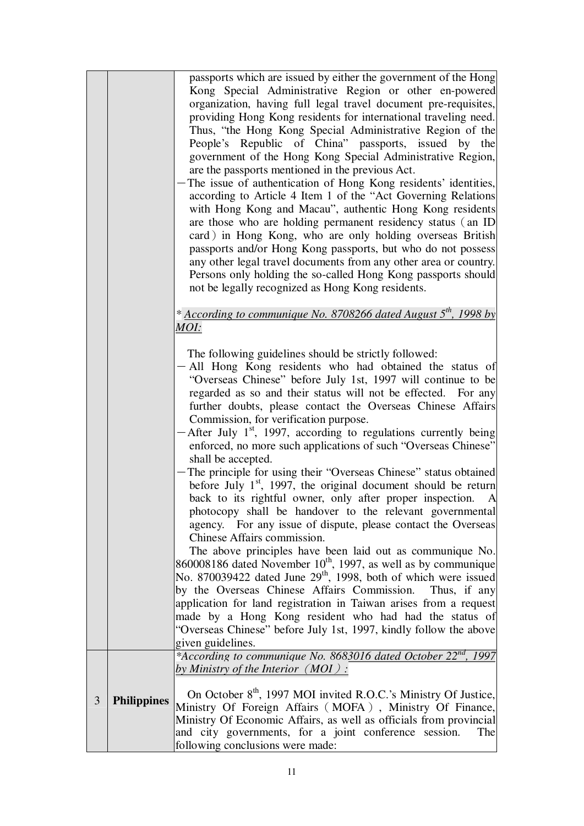| passports which are issued by either the government of the Hong<br>are the passports mentioned in the previous Act.<br>not be legally recognized as Hong Kong residents.<br>* According to communique No. 8708266 dated August 5 <sup>th</sup> , 1998 by<br>MOI:<br>The following guidelines should be strictly followed:<br>Commission, for verification purpose.<br>shall be accepted.<br>Chinese Affairs commission.<br>No. 870039422 dated June 29 <sup>th</sup> , 1998, both of which were issued<br>by the Overseas Chinese Affairs Commission.<br>made by a Hong Kong resident who had had the status of<br>"Overseas Chinese" before July 1st, 1997, kindly follow the above<br>given guidelines.<br>by Ministry of the Interior $(MOI)$ : |  |                                                                                                                                                                                                                                                                                                                                                                                                                                                                                                                                                                                                                                                                                                                                                                                                                                                                                                                  |
|----------------------------------------------------------------------------------------------------------------------------------------------------------------------------------------------------------------------------------------------------------------------------------------------------------------------------------------------------------------------------------------------------------------------------------------------------------------------------------------------------------------------------------------------------------------------------------------------------------------------------------------------------------------------------------------------------------------------------------------------------|--|------------------------------------------------------------------------------------------------------------------------------------------------------------------------------------------------------------------------------------------------------------------------------------------------------------------------------------------------------------------------------------------------------------------------------------------------------------------------------------------------------------------------------------------------------------------------------------------------------------------------------------------------------------------------------------------------------------------------------------------------------------------------------------------------------------------------------------------------------------------------------------------------------------------|
|                                                                                                                                                                                                                                                                                                                                                                                                                                                                                                                                                                                                                                                                                                                                                    |  | Kong Special Administrative Region or other en-powered<br>organization, having full legal travel document pre-requisites,<br>providing Hong Kong residents for international traveling need.<br>Thus, "the Hong Kong Special Administrative Region of the<br>People's Republic of China" passports, issued by the<br>government of the Hong Kong Special Administrative Region,<br>The issue of authentication of Hong Kong residents' identities,<br>according to Article 4 Item 1 of the "Act Governing Relations<br>with Hong Kong and Macau", authentic Hong Kong residents<br>are those who are holding permanent residency status (an ID<br>card) in Hong Kong, who are only holding overseas British<br>passports and/or Hong Kong passports, but who do not possess<br>any other legal travel documents from any other area or country.<br>Persons only holding the so-called Hong Kong passports should |
|                                                                                                                                                                                                                                                                                                                                                                                                                                                                                                                                                                                                                                                                                                                                                    |  |                                                                                                                                                                                                                                                                                                                                                                                                                                                                                                                                                                                                                                                                                                                                                                                                                                                                                                                  |
|                                                                                                                                                                                                                                                                                                                                                                                                                                                                                                                                                                                                                                                                                                                                                    |  |                                                                                                                                                                                                                                                                                                                                                                                                                                                                                                                                                                                                                                                                                                                                                                                                                                                                                                                  |
|                                                                                                                                                                                                                                                                                                                                                                                                                                                                                                                                                                                                                                                                                                                                                    |  |                                                                                                                                                                                                                                                                                                                                                                                                                                                                                                                                                                                                                                                                                                                                                                                                                                                                                                                  |
|                                                                                                                                                                                                                                                                                                                                                                                                                                                                                                                                                                                                                                                                                                                                                    |  | - All Hong Kong residents who had obtained the status of<br>"Overseas Chinese" before July 1st, 1997 will continue to be<br>regarded as so and their status will not be effected. For any<br>further doubts, please contact the Overseas Chinese Affairs<br>After July $1st$ , 1997, according to regulations currently being<br>enforced, no more such applications of such "Overseas Chinese"                                                                                                                                                                                                                                                                                                                                                                                                                                                                                                                  |
|                                                                                                                                                                                                                                                                                                                                                                                                                                                                                                                                                                                                                                                                                                                                                    |  | The principle for using their "Overseas Chinese" status obtained<br>before July $1st$ , 1997, the original document should be return<br>back to its rightful owner, only after proper inspection.<br>A<br>photocopy shall be handover to the relevant governmental<br>agency. For any issue of dispute, please contact the Overseas                                                                                                                                                                                                                                                                                                                                                                                                                                                                                                                                                                              |
|                                                                                                                                                                                                                                                                                                                                                                                                                                                                                                                                                                                                                                                                                                                                                    |  | The above principles have been laid out as communique No.<br>860008186 dated November 10 <sup>th</sup> , 1997, as well as by communique                                                                                                                                                                                                                                                                                                                                                                                                                                                                                                                                                                                                                                                                                                                                                                          |
|                                                                                                                                                                                                                                                                                                                                                                                                                                                                                                                                                                                                                                                                                                                                                    |  | Thus, if any                                                                                                                                                                                                                                                                                                                                                                                                                                                                                                                                                                                                                                                                                                                                                                                                                                                                                                     |
|                                                                                                                                                                                                                                                                                                                                                                                                                                                                                                                                                                                                                                                                                                                                                    |  | application for land registration in Taiwan arises from a request                                                                                                                                                                                                                                                                                                                                                                                                                                                                                                                                                                                                                                                                                                                                                                                                                                                |
|                                                                                                                                                                                                                                                                                                                                                                                                                                                                                                                                                                                                                                                                                                                                                    |  |                                                                                                                                                                                                                                                                                                                                                                                                                                                                                                                                                                                                                                                                                                                                                                                                                                                                                                                  |
|                                                                                                                                                                                                                                                                                                                                                                                                                                                                                                                                                                                                                                                                                                                                                    |  |                                                                                                                                                                                                                                                                                                                                                                                                                                                                                                                                                                                                                                                                                                                                                                                                                                                                                                                  |
|                                                                                                                                                                                                                                                                                                                                                                                                                                                                                                                                                                                                                                                                                                                                                    |  | *According to communique No. 8683016 dated October 22 <sup>nd</sup> , 1997                                                                                                                                                                                                                                                                                                                                                                                                                                                                                                                                                                                                                                                                                                                                                                                                                                       |
| 3<br><b>Philippines</b><br>and city governments, for a joint conference session.<br>following conclusions were made:                                                                                                                                                                                                                                                                                                                                                                                                                                                                                                                                                                                                                               |  | On October 8 <sup>th</sup> , 1997 MOI invited R.O.C.'s Ministry Of Justice,<br>Ministry Of Foreign Affairs (MOFA), Ministry Of Finance,<br>Ministry Of Economic Affairs, as well as officials from provincial<br>The                                                                                                                                                                                                                                                                                                                                                                                                                                                                                                                                                                                                                                                                                             |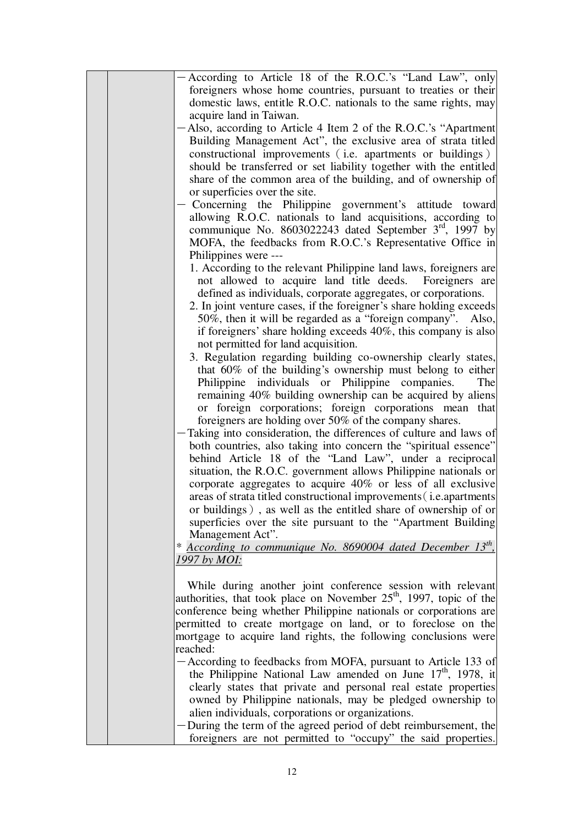|  | According to Article 18 of the R.O.C.'s "Land Law", only<br>foreigners whose home countries, pursuant to treaties or their |
|--|----------------------------------------------------------------------------------------------------------------------------|
|  | domestic laws, entitle R.O.C. nationals to the same rights, may                                                            |
|  | acquire land in Taiwan.                                                                                                    |
|  | Also, according to Article 4 Item 2 of the R.O.C.'s "Apartment                                                             |
|  | Building Management Act", the exclusive area of strata titled                                                              |
|  | constructional improvements (i.e. apartments or buildings)                                                                 |
|  | should be transferred or set liability together with the entitled                                                          |
|  | share of the common area of the building, and of ownership of                                                              |
|  | or superficies over the site.                                                                                              |
|  | Concerning the Philippine government's attitude toward                                                                     |
|  | allowing R.O.C. nationals to land acquisitions, according to                                                               |
|  | communique No. 8603022243 dated September 3rd, 1997 by                                                                     |
|  | MOFA, the feedbacks from R.O.C.'s Representative Office in                                                                 |
|  | Philippines were ---                                                                                                       |
|  | 1. According to the relevant Philippine land laws, foreigners are                                                          |
|  | not allowed to acquire land title deeds. Foreigners are                                                                    |
|  | defined as individuals, corporate aggregates, or corporations.                                                             |
|  | 2. In joint venture cases, if the foreigner's share holding exceeds                                                        |
|  | 50%, then it will be regarded as a "foreign company". Also,                                                                |
|  | if foreigners' share holding exceeds 40%, this company is also                                                             |
|  | not permitted for land acquisition.                                                                                        |
|  | 3. Regulation regarding building co-ownership clearly states,                                                              |
|  | that 60% of the building's ownership must belong to either                                                                 |
|  | Philippine individuals or Philippine companies.<br>The                                                                     |
|  | remaining 40% building ownership can be acquired by aliens                                                                 |
|  | or foreign corporations; foreign corporations mean that                                                                    |
|  | foreigners are holding over 50% of the company shares.                                                                     |
|  | Taking into consideration, the differences of culture and laws of                                                          |
|  | both countries, also taking into concern the "spiritual essence"                                                           |
|  | behind Article 18 of the "Land Law", under a reciprocal                                                                    |
|  | situation, the R.O.C. government allows Philippine nationals or                                                            |
|  | corporate aggregates to acquire 40% or less of all exclusive                                                               |
|  | areas of strata titled constructional improvements (i.e.apartments                                                         |
|  | or buildings), as well as the entitled share of ownership of or                                                            |
|  | superficies over the site pursuant to the "Apartment Building"                                                             |
|  | Management Act".                                                                                                           |
|  | * According to communique No. 8690004 dated December 13 <sup>th</sup> ,                                                    |
|  | 1997 by MOI:                                                                                                               |
|  |                                                                                                                            |
|  | While during another joint conference session with relevant                                                                |
|  | authorities, that took place on November $25th$ , 1997, topic of the                                                       |
|  | conference being whether Philippine nationals or corporations are                                                          |
|  | permitted to create mortgage on land, or to foreclose on the                                                               |
|  | mortgage to acquire land rights, the following conclusions were                                                            |
|  | reached:                                                                                                                   |
|  | According to feedbacks from MOFA, pursuant to Article 133 of                                                               |
|  | the Philippine National Law amended on June $17th$ , 1978, it                                                              |
|  | clearly states that private and personal real estate properties                                                            |
|  | owned by Philippine nationals, may be pledged ownership to                                                                 |
|  | alien individuals, corporations or organizations.                                                                          |
|  | During the term of the agreed period of debt reimbursement, the                                                            |
|  | foreigners are not permitted to "occupy" the said properties.                                                              |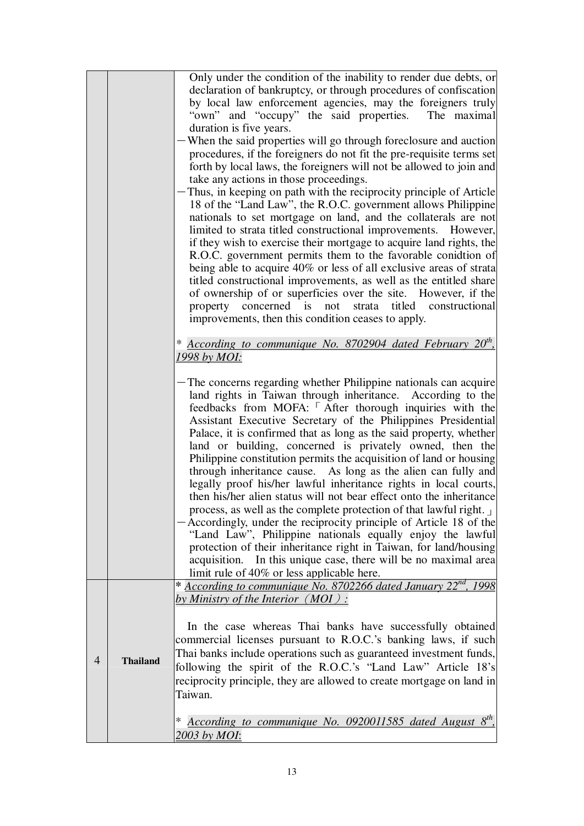|                |                 | Only under the condition of the inability to render due debts, or                                                    |
|----------------|-----------------|----------------------------------------------------------------------------------------------------------------------|
|                |                 | declaration of bankruptcy, or through procedures of confiscation                                                     |
|                |                 | by local law enforcement agencies, may the foreigners truly                                                          |
|                |                 | "own" and "occupy" the said properties.<br>The maximal                                                               |
|                |                 | duration is five years.                                                                                              |
|                |                 | When the said properties will go through foreclosure and auction                                                     |
|                |                 | procedures, if the foreigners do not fit the pre-requisite terms set                                                 |
|                |                 | forth by local laws, the foreigners will not be allowed to join and                                                  |
|                |                 | take any actions in those proceedings.                                                                               |
|                |                 | Thus, in keeping on path with the reciprocity principle of Article                                                   |
|                |                 | 18 of the "Land Law", the R.O.C. government allows Philippine                                                        |
|                |                 | nationals to set mortgage on land, and the collaterals are not                                                       |
|                |                 | limited to strata titled constructional improvements. However,                                                       |
|                |                 | if they wish to exercise their mortgage to acquire land rights, the                                                  |
|                |                 | R.O.C. government permits them to the favorable conidtion of                                                         |
|                |                 | being able to acquire 40% or less of all exclusive areas of strata                                                   |
|                |                 | titled constructional improvements, as well as the entitled share                                                    |
|                |                 | of ownership of or superficies over the site. However, if the                                                        |
|                |                 | property concerned is<br>titled constructional<br>not<br>strata                                                      |
|                |                 | improvements, then this condition ceases to apply.                                                                   |
|                |                 | * According to communique No. 8702904 dated February $20^{th}$ ,                                                     |
|                |                 | 1998 by MOI:                                                                                                         |
|                |                 |                                                                                                                      |
|                |                 | The concerns regarding whether Philippine nationals can acquire                                                      |
|                |                 | land rights in Taiwan through inheritance. According to the                                                          |
|                |                 | feedbacks from MOFA: After thorough inquiries with the                                                               |
|                |                 | Assistant Executive Secretary of the Philippines Presidential                                                        |
|                |                 | Palace, it is confirmed that as long as the said property, whether                                                   |
|                |                 | land or building, concerned is privately owned, then the                                                             |
|                |                 | Philippine constitution permits the acquisition of land or housing                                                   |
|                |                 | through inheritance cause. As long as the alien can fully and                                                        |
|                |                 | legally proof his/her lawful inheritance rights in local courts,                                                     |
|                |                 | then his/her alien status will not bear effect onto the inheritance                                                  |
|                |                 | process, as well as the complete protection of that lawful right.                                                    |
|                |                 | Accordingly, under the reciprocity principle of Article 18 of the                                                    |
|                |                 | "Land Law", Philippine nationals equally enjoy the lawful                                                            |
|                |                 | protection of their inheritance right in Taiwan, for land/housing                                                    |
|                |                 | acquisition. In this unique case, there will be no maximal area                                                      |
|                |                 | limit rule of 40% or less applicable here.                                                                           |
|                |                 | * According to communique No. 8702266 dated January 22 <sup>nd</sup> , 1998<br>by Ministry of the Interior $(MOI)$ : |
|                |                 |                                                                                                                      |
|                |                 |                                                                                                                      |
|                |                 | In the case whereas Thai banks have successfully obtained                                                            |
|                |                 | commercial licenses pursuant to R.O.C.'s banking laws, if such                                                       |
| $\overline{4}$ | <b>Thailand</b> | Thai banks include operations such as guaranteed investment funds,                                                   |
|                |                 | following the spirit of the R.O.C.'s "Land Law" Article 18's                                                         |
|                |                 | reciprocity principle, they are allowed to create mortgage on land in                                                |
|                |                 | Taiwan.                                                                                                              |
|                |                 | $\ast$                                                                                                               |
|                |                 | According to communique No. 0920011585 dated August 8 <sup>th</sup> ,                                                |
|                |                 | 2003 by MOI:                                                                                                         |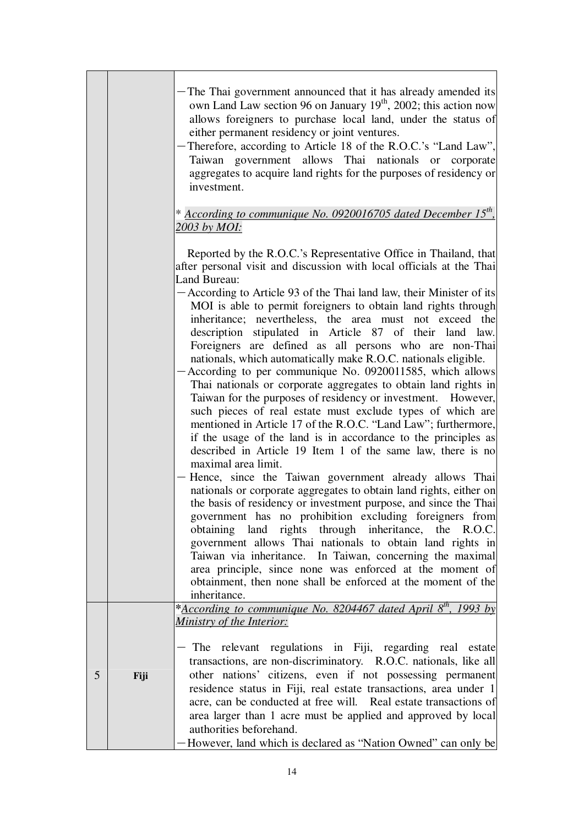|   |      | The Thai government announced that it has already amended its<br>own Land Law section 96 on January 19 <sup>th</sup> , 2002; this action now<br>allows foreigners to purchase local land, under the status of<br>either permanent residency or joint ventures.<br>Therefore, according to Article 18 of the R.O.C.'s "Land Law",<br>Taiwan government allows Thai nationals or corporate<br>aggregates to acquire land rights for the purposes of residency or<br>investment.                                                                                                                                                                                                                                                                                                                                                                                                                                                                                                                                                                                                                                                                                                                                                                                                                                                                                                                                                                                                                                                                                                                                            |
|---|------|--------------------------------------------------------------------------------------------------------------------------------------------------------------------------------------------------------------------------------------------------------------------------------------------------------------------------------------------------------------------------------------------------------------------------------------------------------------------------------------------------------------------------------------------------------------------------------------------------------------------------------------------------------------------------------------------------------------------------------------------------------------------------------------------------------------------------------------------------------------------------------------------------------------------------------------------------------------------------------------------------------------------------------------------------------------------------------------------------------------------------------------------------------------------------------------------------------------------------------------------------------------------------------------------------------------------------------------------------------------------------------------------------------------------------------------------------------------------------------------------------------------------------------------------------------------------------------------------------------------------------|
|   |      | * According to communique No. 0920016705 dated December 15 <sup>th</sup> ,<br>2003 by MOI:                                                                                                                                                                                                                                                                                                                                                                                                                                                                                                                                                                                                                                                                                                                                                                                                                                                                                                                                                                                                                                                                                                                                                                                                                                                                                                                                                                                                                                                                                                                               |
|   |      | Reported by the R.O.C.'s Representative Office in Thailand, that<br>after personal visit and discussion with local officials at the Thai<br>Land Bureau:<br>According to Article 93 of the Thai land law, their Minister of its<br>MOI is able to permit foreigners to obtain land rights through<br>inheritance; nevertheless, the area must not exceed the<br>description stipulated in Article 87 of their land law.<br>Foreigners are defined as all persons who are non-Thai<br>nationals, which automatically make R.O.C. nationals eligible.<br>According to per communique No. 0920011585, which allows<br>Thai nationals or corporate aggregates to obtain land rights in<br>Taiwan for the purposes of residency or investment. However,<br>such pieces of real estate must exclude types of which are<br>mentioned in Article 17 of the R.O.C. "Land Law"; furthermore,<br>if the usage of the land is in accordance to the principles as<br>described in Article 19 Item 1 of the same law, there is no<br>maximal area limit.<br>Hence, since the Taiwan government already allows Thai<br>nationals or corporate aggregates to obtain land rights, either on<br>the basis of residency or investment purpose, and since the Thai<br>government has no prohibition excluding foreigners from<br>obtaining land rights through inheritance, the R.O.C.<br>government allows Thai nationals to obtain land rights in<br>Taiwan via inheritance. In Taiwan, concerning the maximal<br>area principle, since none was enforced at the moment of<br>obtainment, then none shall be enforced at the moment of the |
|   |      | inheritance.<br>*According to communique No. 8204467 dated April 8 <sup>th</sup> , 1993 by<br>Ministry of the Interior:                                                                                                                                                                                                                                                                                                                                                                                                                                                                                                                                                                                                                                                                                                                                                                                                                                                                                                                                                                                                                                                                                                                                                                                                                                                                                                                                                                                                                                                                                                  |
| 5 | Fiji | The relevant regulations in Fiji, regarding real estate<br>transactions, are non-discriminatory. R.O.C. nationals, like all<br>other nations' citizens, even if not possessing permanent<br>residence status in Fiji, real estate transactions, area under 1<br>acre, can be conducted at free will. Real estate transactions of<br>area larger than 1 acre must be applied and approved by local<br>authorities beforehand.<br>However, land which is declared as "Nation Owned" can only be                                                                                                                                                                                                                                                                                                                                                                                                                                                                                                                                                                                                                                                                                                                                                                                                                                                                                                                                                                                                                                                                                                                            |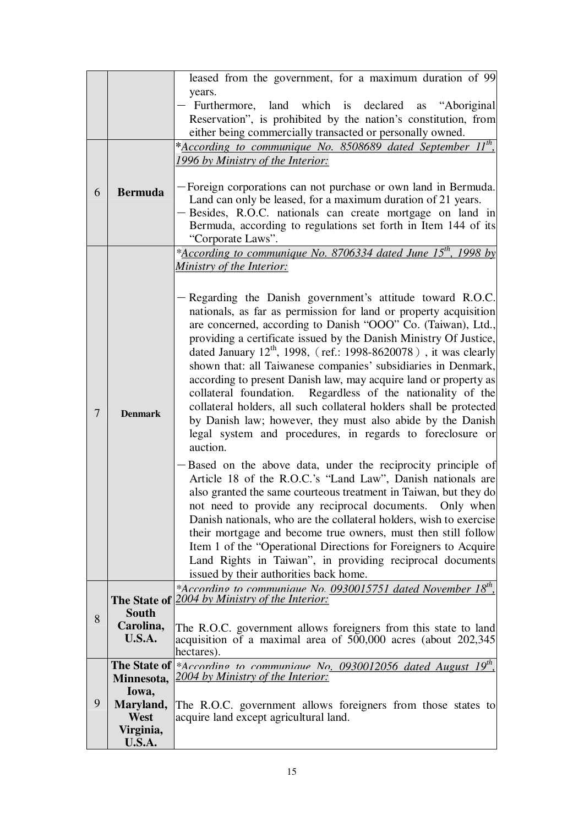|   |                    | leased from the government, for a maximum duration of 99                                                                          |
|---|--------------------|-----------------------------------------------------------------------------------------------------------------------------------|
|   |                    | years.                                                                                                                            |
|   |                    | Furthermore, land which is declared as "Aboriginal                                                                                |
|   |                    | Reservation", is prohibited by the nation's constitution, from                                                                    |
|   |                    | either being commercially transacted or personally owned.                                                                         |
|   |                    | *According to communique No. 8508689 dated September 11 <sup>th</sup> ,                                                           |
|   |                    | 1996 by Ministry of the Interior:                                                                                                 |
|   |                    |                                                                                                                                   |
| 6 | <b>Bermuda</b>     | Foreign corporations can not purchase or own land in Bermuda.                                                                     |
|   |                    | Land can only be leased, for a maximum duration of 21 years.                                                                      |
|   |                    | Besides, R.O.C. nationals can create mortgage on land in                                                                          |
|   |                    | Bermuda, according to regulations set forth in Item 144 of its<br>"Corporate Laws".                                               |
|   |                    | * <u>According to communique No. 8706334 dated June 15<sup>th</sup>, 1998 by</u>                                                  |
|   |                    | Ministry of the Interior:                                                                                                         |
|   |                    |                                                                                                                                   |
|   |                    | Regarding the Danish government's attitude toward R.O.C.                                                                          |
|   |                    | nationals, as far as permission for land or property acquisition                                                                  |
|   |                    | are concerned, according to Danish "OOO" Co. (Taiwan), Ltd.,                                                                      |
|   |                    | providing a certificate issued by the Danish Ministry Of Justice,                                                                 |
|   |                    | dated January $12^{th}$ , 1998, (ref.: 1998-8620078), it was clearly                                                              |
|   |                    | shown that: all Taiwanese companies' subsidiaries in Denmark,                                                                     |
|   |                    | according to present Danish law, may acquire land or property as                                                                  |
|   |                    | Regardless of the nationality of the<br>collateral foundation.                                                                    |
| 7 | <b>Denmark</b>     | collateral holders, all such collateral holders shall be protected                                                                |
|   |                    | by Danish law; however, they must also abide by the Danish                                                                        |
|   |                    | legal system and procedures, in regards to foreclosure or<br>auction.                                                             |
|   |                    |                                                                                                                                   |
|   |                    | Based on the above data, under the reciprocity principle of                                                                       |
|   |                    | Article 18 of the R.O.C.'s "Land Law", Danish nationals are<br>also granted the same courteous treatment in Taiwan, but they do   |
|   |                    | not need to provide any reciprocal documents. Only when                                                                           |
|   |                    | Danish nationals, who are the collateral holders, wish to exercise                                                                |
|   |                    | their mortgage and become true owners, must then still follow                                                                     |
|   |                    | Item 1 of the "Operational Directions for Foreigners to Acquire                                                                   |
|   |                    | Land Rights in Taiwan", in providing reciprocal documents                                                                         |
|   |                    | issued by their authorities back home.                                                                                            |
|   |                    | *According to communique No. $0930015751$ dated November 18 <sup>th</sup> ,                                                       |
|   |                    | The State of 2004 by Ministry of the Interior:                                                                                    |
| 8 | South<br>Carolina, |                                                                                                                                   |
|   | U.S.A.             | The R.O.C. government allows foreigners from this state to land<br>acquisition of a maximal area of 500,000 acres (about 202,345) |
|   |                    | hectares).                                                                                                                        |
|   |                    | <b>The State of</b> *According to communique No. 0930012056 dated August 19 <sup>th</sup> ,                                       |
|   | Minnesota,         | 2004 by Ministry of the Interior:                                                                                                 |
|   | Iowa,              |                                                                                                                                   |
| 9 | Maryland,          | The R.O.C. government allows foreigners from those states to                                                                      |
|   | West<br>Virginia,  | acquire land except agricultural land.                                                                                            |
|   | <b>U.S.A.</b>      |                                                                                                                                   |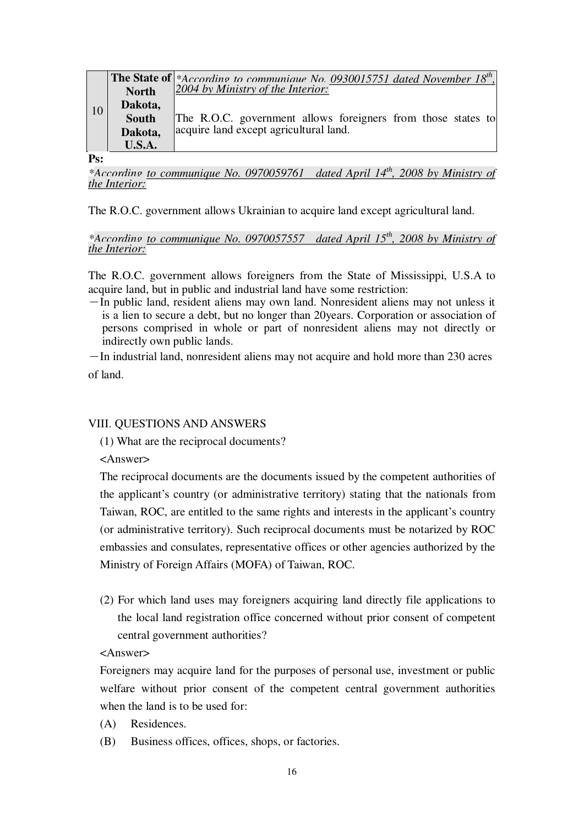|    |              | <b>The State of</b> *According to communique No. 0930015751 dated November $18^{th}$ ,<br>$2004$ by Ministry of the Interior: |
|----|--------------|-------------------------------------------------------------------------------------------------------------------------------|
|    | <b>North</b> |                                                                                                                               |
| 10 | Dakota,      |                                                                                                                               |
|    | <b>South</b> | The R.O.C. government allows foreigners from those states to                                                                  |
|    | Dakota,      | acquire land except agricultural land.                                                                                        |
|    | U.S.A.       |                                                                                                                               |

#### **Ps:**

*\*According to communique No. 0970059761 dated April 14th, 2008 by Ministry of the Interior:*

The R.O.C. government allows Ukrainian to acquire land except agricultural land.

#### *\*According to communique No. 0970057557 dated April 15th, 2008 by Ministry of the Interior:*

The R.O.C. government allows foreigners from the State of Mississippi, U.S.A to acquire land, but in public and industrial land have some restriction:

-In public land, resident aliens may own land. Nonresident aliens may not unless it is a lien to secure a debt, but no longer than 20years. Corporation or association of persons comprised in whole or part of nonresident aliens may not directly or indirectly own public lands.

-In industrial land, nonresident aliens may not acquire and hold more than 230 acres of land.

#### VIII. QUESTIONS AND ANSWERS

(1) What are the reciprocal documents?

<Answer>

The reciprocal documents are the documents issued by the competent authorities of the applicant's country (or administrative territory) stating that the nationals from Taiwan, ROC, are entitled to the same rights and interests in the applicant's country (or administrative territory). Such reciprocal documents must be notarized by ROC embassies and consulates, representative offices or other agencies authorized by the Ministry of Foreign Affairs (MOFA) of Taiwan, ROC.

(2) For which land uses may foreigners acquiring land directly file applications to the local land registration office concerned without prior consent of competent central government authorities?

<Answer>

Foreigners may acquire land for the purposes of personal use, investment or public welfare without prior consent of the competent central government authorities when the land is to be used for:

- (A) Residences.
- (B) Business offices, offices, shops, or factories.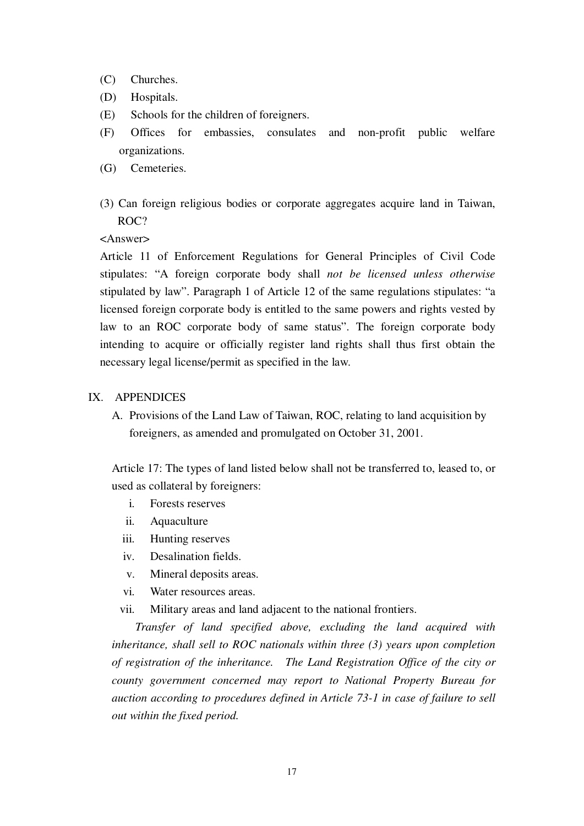- (C) Churches.
- (D) Hospitals.
- (E) Schools for the children of foreigners.
- (F) Offices for embassies, consulates and non-profit public welfare organizations.
- (G) Cemeteries.
- (3) Can foreign religious bodies or corporate aggregates acquire land in Taiwan, ROC?

#### <Answer>

Article 11 of Enforcement Regulations for General Principles of Civil Code stipulates: "A foreign corporate body shall *not be licensed unless otherwise*  stipulated by law". Paragraph 1 of Article 12 of the same regulations stipulates: "a licensed foreign corporate body is entitled to the same powers and rights vested by law to an ROC corporate body of same status". The foreign corporate body intending to acquire or officially register land rights shall thus first obtain the necessary legal license/permit as specified in the law.

#### IX. APPENDICES

A. Provisions of the Land Law of Taiwan, ROC, relating to land acquisition by foreigners, as amended and promulgated on October 31, 2001.

Article 17: The types of land listed below shall not be transferred to, leased to, or used as collateral by foreigners:

- i. Forests reserves
- ii. Aquaculture
- iii. Hunting reserves
- iv. Desalination fields.
- v. Mineral deposits areas.
- vi. Water resources areas.
- vii. Military areas and land adjacent to the national frontiers.

*Transfer of land specified above, excluding the land acquired with inheritance, shall sell to ROC nationals within three (3) years upon completion of registration of the inheritance. The Land Registration Office of the city or county government concerned may report to National Property Bureau for auction according to procedures defined in Article 73-1 in case of failure to sell out within the fixed period.*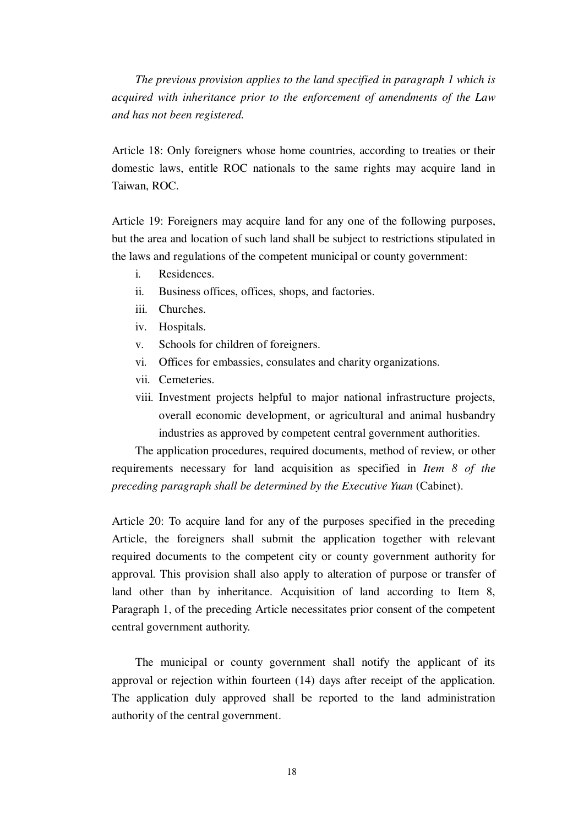*The previous provision applies to the land specified in paragraph 1 which is acquired with inheritance prior to the enforcement of amendments of the Law and has not been registered.* 

Article 18: Only foreigners whose home countries, according to treaties or their domestic laws, entitle ROC nationals to the same rights may acquire land in Taiwan, ROC.

Article 19: Foreigners may acquire land for any one of the following purposes, but the area and location of such land shall be subject to restrictions stipulated in the laws and regulations of the competent municipal or county government:

- i. Residences.
- ii. Business offices, offices, shops, and factories.
- iii. Churches.
- iv. Hospitals.
- v. Schools for children of foreigners.
- vi. Offices for embassies, consulates and charity organizations.
- vii. Cemeteries.
- viii. Investment projects helpful to major national infrastructure projects, overall economic development, or agricultural and animal husbandry industries as approved by competent central government authorities.

The application procedures, required documents, method of review, or other requirements necessary for land acquisition as specified in *Item 8 of the preceding paragraph shall be determined by the Executive Yuan* (Cabinet).

Article 20: To acquire land for any of the purposes specified in the preceding Article, the foreigners shall submit the application together with relevant required documents to the competent city or county government authority for approval. This provision shall also apply to alteration of purpose or transfer of land other than by inheritance. Acquisition of land according to Item 8, Paragraph 1, of the preceding Article necessitates prior consent of the competent central government authority.

The municipal or county government shall notify the applicant of its approval or rejection within fourteen (14) days after receipt of the application. The application duly approved shall be reported to the land administration authority of the central government.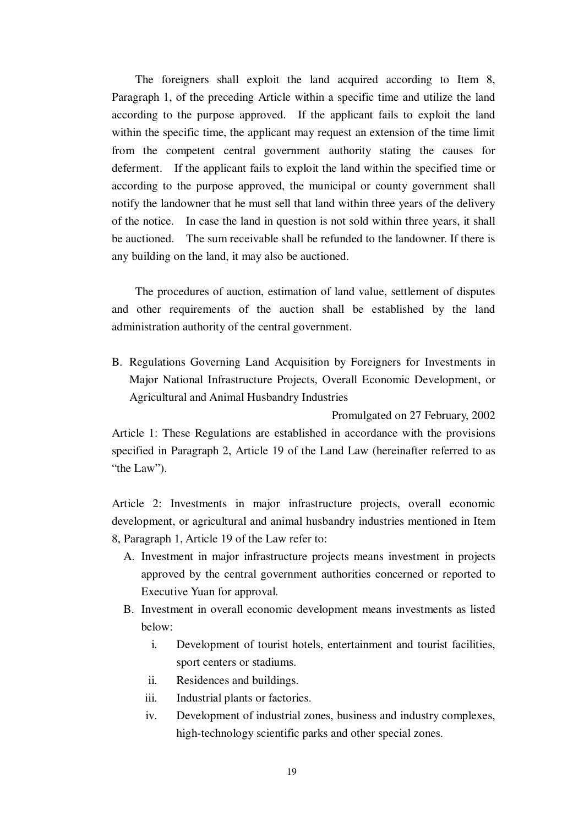The foreigners shall exploit the land acquired according to Item 8, Paragraph 1, of the preceding Article within a specific time and utilize the land according to the purpose approved. If the applicant fails to exploit the land within the specific time, the applicant may request an extension of the time limit from the competent central government authority stating the causes for deferment. If the applicant fails to exploit the land within the specified time or according to the purpose approved, the municipal or county government shall notify the landowner that he must sell that land within three years of the delivery of the notice. In case the land in question is not sold within three years, it shall be auctioned. The sum receivable shall be refunded to the landowner. If there is any building on the land, it may also be auctioned.

The procedures of auction, estimation of land value, settlement of disputes and other requirements of the auction shall be established by the land administration authority of the central government.

B. Regulations Governing Land Acquisition by Foreigners for Investments in Major National Infrastructure Projects, Overall Economic Development, or Agricultural and Animal Husbandry Industries

Promulgated on 27 February, 2002 Article 1: These Regulations are established in accordance with the provisions specified in Paragraph 2, Article 19 of the Land Law (hereinafter referred to as "the Law").

Article 2: Investments in major infrastructure projects, overall economic development, or agricultural and animal husbandry industries mentioned in Item 8, Paragraph 1, Article 19 of the Law refer to:

- A. Investment in major infrastructure projects means investment in projects approved by the central government authorities concerned or reported to Executive Yuan for approval.
- B. Investment in overall economic development means investments as listed below:
	- i. Development of tourist hotels, entertainment and tourist facilities, sport centers or stadiums.
	- ii. Residences and buildings.
	- iii. Industrial plants or factories.
	- iv. Development of industrial zones, business and industry complexes, high-technology scientific parks and other special zones.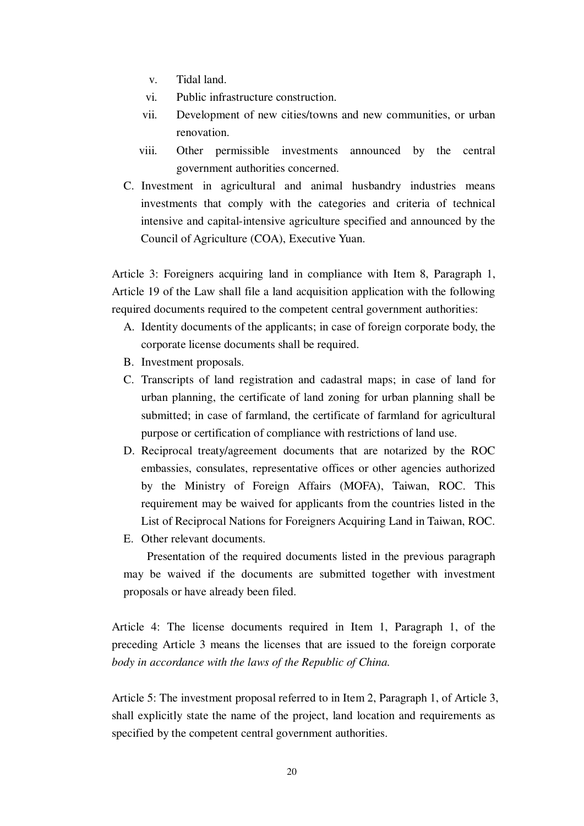- v. Tidal land.
- vi. Public infrastructure construction.
- vii. Development of new cities/towns and new communities, or urban renovation.
- viii. Other permissible investments announced by the central government authorities concerned.
- C. Investment in agricultural and animal husbandry industries means investments that comply with the categories and criteria of technical intensive and capital-intensive agriculture specified and announced by the Council of Agriculture (COA), Executive Yuan.

Article 3: Foreigners acquiring land in compliance with Item 8, Paragraph 1, Article 19 of the Law shall file a land acquisition application with the following required documents required to the competent central government authorities:

- A. Identity documents of the applicants; in case of foreign corporate body, the corporate license documents shall be required.
- B. Investment proposals.
- C. Transcripts of land registration and cadastral maps; in case of land for urban planning, the certificate of land zoning for urban planning shall be submitted; in case of farmland, the certificate of farmland for agricultural purpose or certification of compliance with restrictions of land use.
- D. Reciprocal treaty/agreement documents that are notarized by the ROC embassies, consulates, representative offices or other agencies authorized by the Ministry of Foreign Affairs (MOFA), Taiwan, ROC. This requirement may be waived for applicants from the countries listed in the List of Reciprocal Nations for Foreigners Acquiring Land in Taiwan, ROC.
- E. Other relevant documents.

Presentation of the required documents listed in the previous paragraph may be waived if the documents are submitted together with investment proposals or have already been filed.

Article 4: The license documents required in Item 1, Paragraph 1, of the preceding Article 3 means the licenses that are issued to the foreign corporate *body in accordance with the laws of the Republic of China.* 

Article 5: The investment proposal referred to in Item 2, Paragraph 1, of Article 3, shall explicitly state the name of the project, land location and requirements as specified by the competent central government authorities.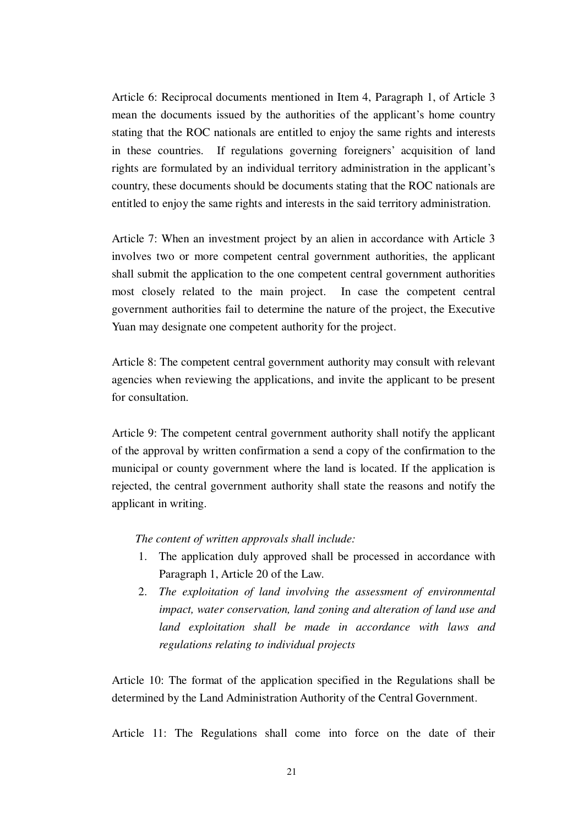Article 6: Reciprocal documents mentioned in Item 4, Paragraph 1, of Article 3 mean the documents issued by the authorities of the applicant's home country stating that the ROC nationals are entitled to enjoy the same rights and interests in these countries. If regulations governing foreigners' acquisition of land rights are formulated by an individual territory administration in the applicant's country, these documents should be documents stating that the ROC nationals are entitled to enjoy the same rights and interests in the said territory administration.

Article 7: When an investment project by an alien in accordance with Article 3 involves two or more competent central government authorities, the applicant shall submit the application to the one competent central government authorities most closely related to the main project. In case the competent central government authorities fail to determine the nature of the project, the Executive Yuan may designate one competent authority for the project.

Article 8: The competent central government authority may consult with relevant agencies when reviewing the applications, and invite the applicant to be present for consultation.

Article 9: The competent central government authority shall notify the applicant of the approval by written confirmation a send a copy of the confirmation to the municipal or county government where the land is located. If the application is rejected, the central government authority shall state the reasons and notify the applicant in writing.

*The content of written approvals shall include:* 

- 1. The application duly approved shall be processed in accordance with Paragraph 1, Article 20 of the Law.
- 2. *The exploitation of land involving the assessment of environmental impact, water conservation, land zoning and alteration of land use and land exploitation shall be made in accordance with laws and regulations relating to individual projects*

Article 10: The format of the application specified in the Regulations shall be determined by the Land Administration Authority of the Central Government.

Article 11: The Regulations shall come into force on the date of their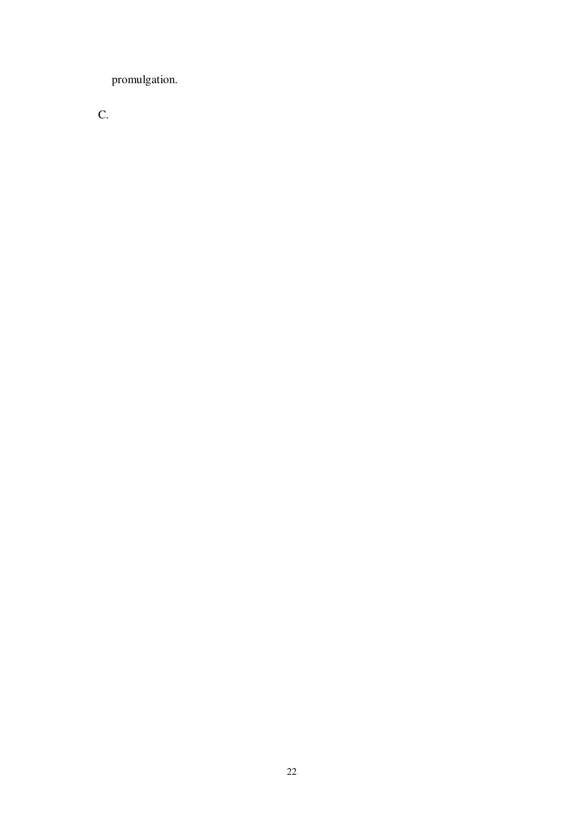promulgation.

C.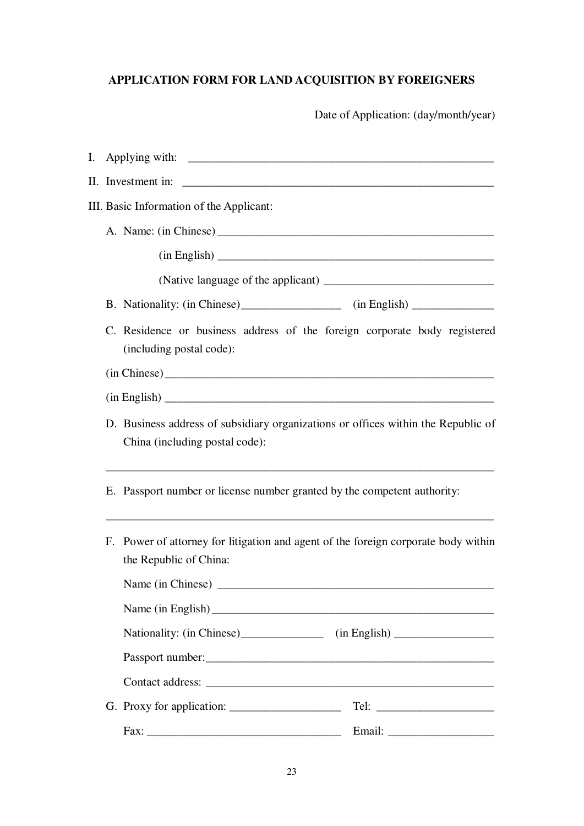# **APPLICATION FORM FOR LAND ACQUISITION BY FOREIGNERS**

Date of Application: (day/month/year)

| Ι. |                                                                                                                     |                                                                                                              |  |  |
|----|---------------------------------------------------------------------------------------------------------------------|--------------------------------------------------------------------------------------------------------------|--|--|
|    | II. Investment in:                                                                                                  |                                                                                                              |  |  |
|    | III. Basic Information of the Applicant:                                                                            |                                                                                                              |  |  |
|    |                                                                                                                     |                                                                                                              |  |  |
|    |                                                                                                                     |                                                                                                              |  |  |
|    |                                                                                                                     |                                                                                                              |  |  |
|    |                                                                                                                     | B. Nationality: (in Chinese) ________________ (in English) _____________                                     |  |  |
|    |                                                                                                                     | C. Residence or business address of the foreign corporate body registered<br>(including postal code):        |  |  |
|    |                                                                                                                     | (in Chinese)                                                                                                 |  |  |
|    |                                                                                                                     |                                                                                                              |  |  |
|    | D. Business address of subsidiary organizations or offices within the Republic of<br>China (including postal code): |                                                                                                              |  |  |
|    |                                                                                                                     | E. Passport number or license number granted by the competent authority:                                     |  |  |
|    |                                                                                                                     | F. Power of attorney for litigation and agent of the foreign corporate body within<br>the Republic of China: |  |  |
|    |                                                                                                                     | Name (in Chinese)                                                                                            |  |  |
|    |                                                                                                                     |                                                                                                              |  |  |
|    |                                                                                                                     |                                                                                                              |  |  |
|    |                                                                                                                     | Passport number:                                                                                             |  |  |
|    |                                                                                                                     |                                                                                                              |  |  |
|    |                                                                                                                     |                                                                                                              |  |  |
|    |                                                                                                                     |                                                                                                              |  |  |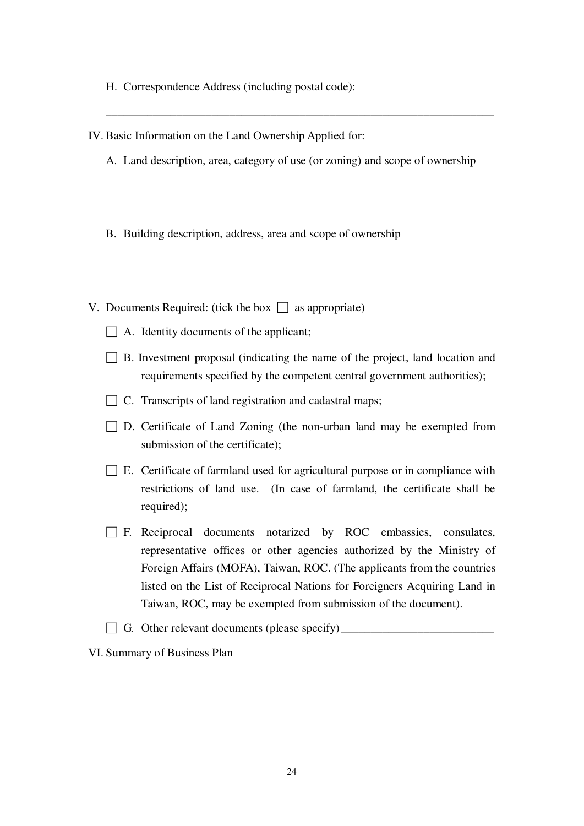- H. Correspondence Address (including postal code):
- IV. Basic Information on the Land Ownership Applied for:
	- A. Land description, area, category of use (or zoning) and scope of ownership

\_\_\_\_\_\_\_\_\_\_\_\_\_\_\_\_\_\_\_\_\_\_\_\_\_\_\_\_\_\_\_\_\_\_\_\_\_\_\_\_\_\_\_\_\_\_\_\_\_\_\_\_\_\_\_\_\_\_\_\_\_\_\_\_\_\_

- B. Building description, address, area and scope of ownership
- V. Documents Required: (tick the box  $\Box$  as appropriate)
	- $\Box$  A. Identity documents of the applicant;
	- $\Box$  B. Investment proposal (indicating the name of the project, land location and requirements specified by the competent central government authorities);
	- $\Box$  C. Transcripts of land registration and cadastral maps;
	- $\Box$  D. Certificate of Land Zoning (the non-urban land may be exempted from submission of the certificate);
	- $\square$  E. Certificate of farmland used for agricultural purpose or in compliance with restrictions of land use. (In case of farmland, the certificate shall be required);
	- $\Box$  F. Reciprocal documents notarized by ROC embassies, consulates, representative offices or other agencies authorized by the Ministry of Foreign Affairs (MOFA), Taiwan, ROC. (The applicants from the countries listed on the List of Reciprocal Nations for Foreigners Acquiring Land in Taiwan, ROC, may be exempted from submission of the document).
	- $\Box$  G. Other relevant documents (please specify)  $\Box$

VI. Summary of Business Plan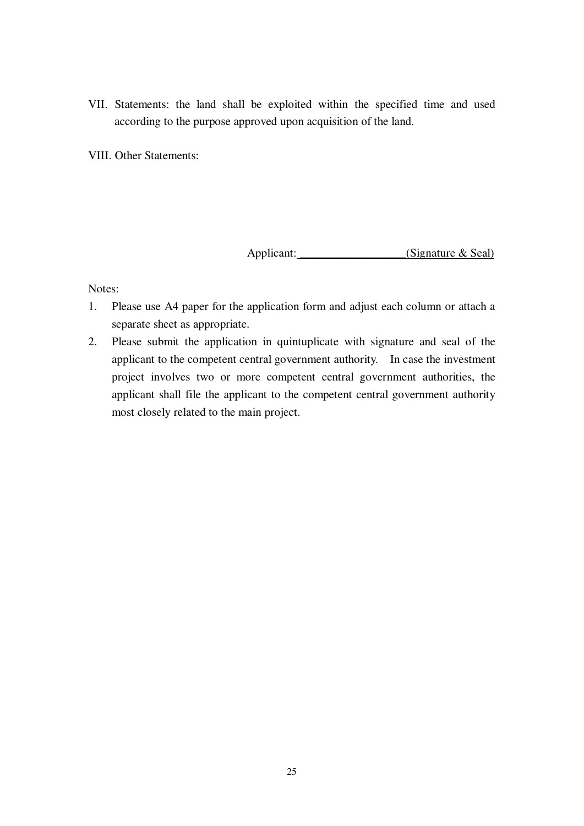VII. Statements: the land shall be exploited within the specified time and used according to the purpose approved upon acquisition of the land.

VIII. Other Statements:

Applicant: \_\_\_\_\_\_\_\_\_\_\_\_\_\_\_\_(Signature & Seal)

Notes:

- 1. Please use A4 paper for the application form and adjust each column or attach a separate sheet as appropriate.
- 2. Please submit the application in quintuplicate with signature and seal of the applicant to the competent central government authority. In case the investment project involves two or more competent central government authorities, the applicant shall file the applicant to the competent central government authority most closely related to the main project.